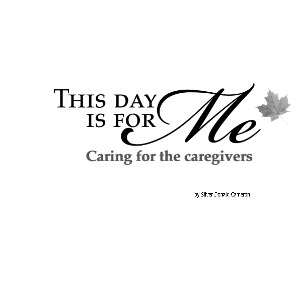

by Silver Donald Cameron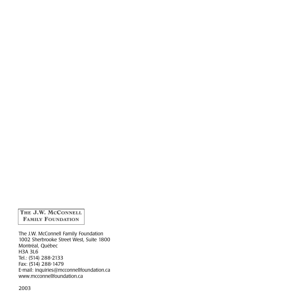THE J.W. MCCONNELL **FAMILY FOUNDATION** 

The J.W. McConnell Family Foundation 1002 Sherbrooke Street West, Suite 1800 Montréal, Québec H3A 3L6 Tel.: (514) 288-2133 Fax: (514) 288-1479 E-mail: inquiries@mcconnellfoundation.ca www.mcconnellfoundation.ca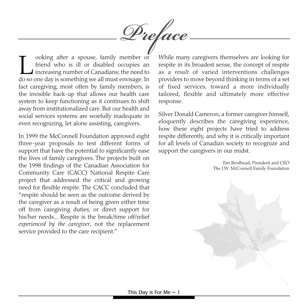ooking after a spouse, family member or<br>friend who is ill or disabled occupies an<br>increasing number of Canadians; the need to<br>do so one dav is something we all must envisage. In friend who is ill or disabled occupies an increasing number of Canadians; the need to do so one day is something we all must envisage. In fact caregiving, most often by family members, is the invisible back-up that allows our health care system to keep functioning as it continues to shift away from institutionalized care. But our health and social services systems are woefully inadequate in even recognizing, let alone assisting, caregivers.

In 1999 the McConnell Foundation approved eight three-year proposals to test different forms of support that have the potential to significantly ease the lives of family caregivers. The projects built on the 1998 findings of the Canadian Association for Community Care (CACC) National Respite Care project that addressed the critical and growing need for flexible respite. The CACC concluded that "respite should be seen as the outcome derived by the caregiver as a result of being given either time off from caregiving duties, or direct support for his/her needs... Respite is the break/time off/relief *experienced by the caregiver*, not the replacement service provided to the care recipient."

While many caregivers themselves are looking for respite in its broadest sense, the concept of respite as a *result* of varied interventions challenges providers to move beyond thinking in terms of a set of fixed services, toward a more individually tailored, flexible and ultimately more effective response.

Silver Donald Cameron, a former caregiver himself, eloquently describes the caregiving experience, how these eight projects have tried to address respite differently, and why it is critically important for all levels of Canadian society to recognize and support the caregivers in our midst.

> Tim Brodhead, President and CEO The J.W. McConnell Family Foundation

*Preface*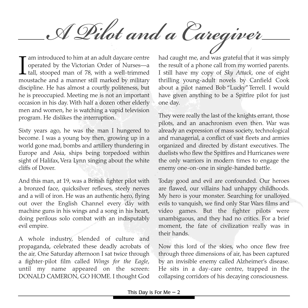*A Pilot and a Caregiver*

 $\prod_{mn}$ am introduced to him at an adult daycare centre operated by the Victorian Order of Nurses—a tall, stooped man of 78, with a well-trimmed moustache and a manner still marked by military discipline. He has almost a courtly politeness, but he is preoccupied. Meeting me is not an important occasion in his day. With half a dozen other elderly men and women, he is watching a vapid television program. He dislikes the interruption.

Sixty years ago, he was the man I hungered to become. I was a young boy then, growing up in a world gone mad, bombs and artillery thundering in Europe and Asia, ships being torpedoed within sight of Halifax, Vera Lynn singing about the white cliffs of Dover.

And this man, at 19, was a British fighter pilot with a bronzed face, quicksilver reflexes, steely nerves and a will of iron. He was an authentic hero, flying out over the English Channel every day with machine guns in his wings and a song in his heart, doing perilous solo combat with an indisputably evil empire.

A whole industry, blended of culture and propaganda, celebrated these deadly acrobats of the air. One Saturday afternoon I sat twice through a fighter-pilot film called *Wings for the Eagle*, until my name appeared on the screen: DONALD CAMERON, GO HOME. I thought God

had caught me, and was grateful that it was simply the result of a phone call from my worried parents. I still have my copy of *Sky Attack*, one of eight thrilling young-adult novels by Canfield Cook about a pilot named Bob "Lucky" Terrell. I would have given anything to be a Spitfire pilot for just one day.

They were really the last of the knights errant, those pilots, and an anachronism even then. War was already an expression of mass society, technological and managerial, a conflict of vast fleets and armies organized and directed by distant executives. The duelists who flew the Spitfires and Hurricanes were the only warriors in modern times to engage the enemy one-on-one in single-handed battle.

Today good and evil are confounded. Our heroes are flawed, our villains had unhappy childhoods. My hero is your monster. Searching for unalloyed evils to vanquish, we find only Star Wars films and video games. But the fighter pilots were unambiguous, and they had no critics. For a brief moment, the fate of civilization really was in their hands.

Now this lord of the skies, who once flew free through three dimensions of air, has been captured by an invisible enemy called Alzheimer's disease. He sits in a day-care centre, trapped in the collapsing corridors of his decaying consciousness.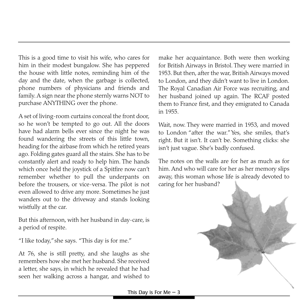This is a good time to visit his wife, who cares for him in their modest bungalow. She has peppered the house with little notes, reminding him of the day and the date, when the garbage is collected, phone numbers of physicians and friends and family. A sign near the phone sternly warns NOT to purchase ANYTHING over the phone.

A set of living-room curtains conceal the front door, so he won't be tempted to go out. All the doors have had alarm bells ever since the night he was found wandering the streets of this little town, heading for the airbase from which he retired years ago. Folding gates guard all the stairs. She has to be constantly alert and ready to help him. The hands which once held the joystick of a Spitfire now can't remember whether to pull the underpants on before the trousers, or vice-versa. The pilot is not even allowed to drive any more. Sometimes he just wanders out to the driveway and stands looking wistfully at the car.

But this afternoon, with her husband in day-care, is a period of respite.

"I like today,"she says. "This day is for me."

At 76, she is still pretty, and she laughs as she remembers how she met her husband. She received a letter, she says, in which he revealed that he had seen her walking across a hangar, and wished to

make her acquaintance. Both were then working for British Airways in Bristol. They were married in 1953. But then, after the war, British Airways moved to London, and they didn't want to live in London. The Royal Canadian Air Force was recruiting, and her husband joined up again. The RCAF posted them to France first, and they emigrated to Canada in 1955.

Wait, now. They were married in 1953, and moved to London "after the war."Yes, she smiles, that's right. But it isn't. It can't be. Something clicks: she isn't just vague. She's badly confused.

The notes on the walls are for her as much as for him. And who will care for her as her memory slips away, this woman whose life is already devoted to caring for her husband?

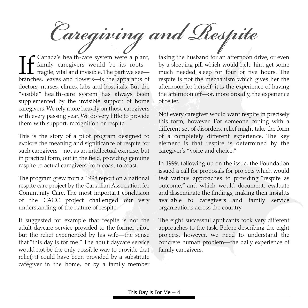**If** Canada's health-care system were a plant,<br>family caregivers would be its roots—<br>fragile, vital and invisible. The part we see—<br>branches, leaves and flowers—is the apparatus of family caregivers would be its roots fragile, vital and invisible. The part we see branches, leaves and flowers—is the apparatus of doctors, nurses, clinics, labs and hospitals. But the "visible" health-care system has always been supplemented by the invisible support of home caregivers. We rely more heavily on those caregivers with every passing year. We do very little to provide *Caregiving and Respite*

them with support, recognition or respite.

This is the story of a pilot program designed to explore the meaning and significance of respite for such caregivers—not as an intellectual exercise, but in practical form, out in the field, providing genuine respite to actual caregivers from coast to coast.

The program grew from a 1998 report on a national respite care project by the Canadian Association for Community Care. The most important conclusion of the CACC project challenged our very understanding of the nature of respite.

It suggested for example that respite is not the adult daycare service provided to the former pilot, but the relief experienced by his wife—the sense that "this day is for me." The adult daycare service would not be the only possible way to provide that relief; it could have been provided by a substitute caregiver in the home, or by a family member taking the husband for an afternoon drive, or even by a sleeping pill which would help him get some much needed sleep for four or five hours. The respite is not the mechanism which gives her the afternoon for herself; it is the experience of having the afternoon off—or, more broadly, the experience of relief.

Not every caregiver would want respite in precisely this form, however. For someone coping with a different set of disorders, relief might take the form of a completely different experience. The key element is that respite is determined by the caregiver's "voice and choice."

In 1999, following up on the issue, the Foundation issued a call for proposals for projects which would test various approaches to providing "respite as outcome," and which would document, evaluate and disseminate the findings, making their insights available to caregivers and family service organizations across the country.

The eight successful applicants took very different approaches to the task. Before describing the eight projects, however, we need to understand the concrete human problem—the daily experience of family caregivers.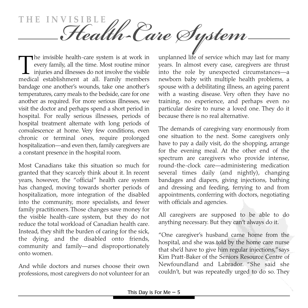**THE INVISIBL** THE INVISIBLE<br> **Health-Care System** is twork in unplanned life of service which ma

The invisible health-care system is at work in<br>every family, all the time. Most routine minor<br>injuries and illnesses do not involve the visible<br>medical establishment at all. Family members every family, all the time. Most routine minor injuries and illnesses do not involve the visible medical establishment at all. Family members bandage one another's wounds, take one another's temperatures, carry meals to the bedside, care for one another as required. For more serious illnesses, we visit the doctor and perhaps spend a short period in hospital. For really serious illnesses, periods of hospital treatment alternate with long periods of convalescence at home. Very few conditions, even chronic or terminal ones, require prolonged hospitalization—and even then, family caregivers are a constant presence in the hospital room.

Most Canadians take this situation so much for granted that they scarcely think about it. In recent years, however, the "official" health care system has changed, moving towards shorter periods of hospitalization, more integration of the disabled into the community, more specialists, and fewer family practitioners. Those changes save money for the visible health-care system, but they do not reduce the total workload of Canadian health care. Instead, they shift the burden of caring for the sick, the dying, and the disabled onto friends, community and family—and disproportionately onto women.

And while doctors and nurses choose their own professions, most caregivers do not volunteer for an unplanned life of service which may last for many years. In almost every case, caregivers are thrust into the role by unexpected circumstances—a newborn baby with multiple health problems, a spouse with a debilitating illness, an ageing parent with a wasting disease. Very often they have no training, no experience, and perhaps even no particular desire to nurse a loved one. They do it because there is no real alternative.

The demands of caregiving vary enormously from one situation to the next. Some caregivers only have to pay a daily visit, do the shopping, arrange for the evening meal. At the other end of the spectrum are caregivers who provide intense, round-the-clock care—administering medication several times daily (and nightly), changing bandages and diapers, giving injections, bathing and dressing and feeding, ferrying to and from appointments, conferring with doctors, negotiating with officials and agencies.

All caregivers are supposed to be able to do anything necessary. But they can't always do it.

"One caregiver's husband came home from the hospital, and she was told by the home care nurse that she'd have to give him regular injections,"says Kim Pratt-Baker of the Seniors Resource Centre of Newfoundland and Labrador. "She said she couldn't, but was repeatedly urged to do so. They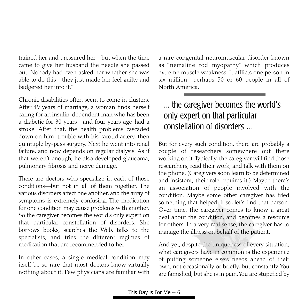trained her and pressured her—but when the time came to give her husband the needle she passed out. Nobody had even asked her whether she was able to do this—they just made her feel guilty and badgered her into it."

Chronic disabilities often seem to come in clusters. After 49 years of marriage, a woman finds herself caring for an insulin-dependent man who has been a diabetic for 30 years—and four years ago had a stroke. After that, the health problems cascaded down on him: trouble with his carotid artery, then quintuple by-pass surgery. Next he went into renal failure, and now depends on regular dialysis. As if that weren't enough, he also developed glaucoma, pulmonary fibrosis and nerve damage.

There are doctors who specialize in each of those conditions—but not in all of them together. The various disorders affect one another, and the array of symptoms is extremely confusing. The medication for one condition may cause problems with another. So the caregiver becomes the world's only expert on that particular constellation of disorders. She borrows books, searches the Web, talks to the specialists, and tries the different regimes of medication that are recommended to her.

In other cases, a single medical condition may itself be so rare that most doctors know virtually nothing about it. Few physicians are familiar with a rare congenital neuromuscular disorder known as "nemaline rod myopathy" which produces extreme muscle weakness. It afflicts one person in six million—perhaps 50 or 60 people in all of North America.

## ... the caregiver becomes the world's only expert on that particular constellation of disorders ...

But for every such condition, there are probably a couple of researchers somewhere out there working on it.Typically, the caregiver will find those researchers, read their work, and talk with them on the phone. (Caregivers soon learn to be determined and insistent; their role requires it.) Maybe there's an association of people involved with the condition. Maybe some other caregiver has tried something that helped. If so, let's find that person. Over time, the caregiver comes to know a great deal about the condition, and becomes a resource for others. In a very real sense, the caregiver has to manage the illness on behalf of the patient.

And yet, despite the uniqueness of every situation, what caregivers have in common is the experience of putting someone else's needs ahead of their own, not occasionally or briefly, but constantly.You are famished, but she is in pain.You are stupefied by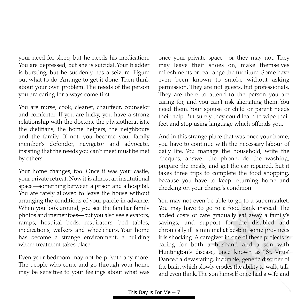your need for sleep, but he needs his medication. You are depressed, but she is suicidal. Your bladder is bursting, but he suddenly has a seizure. Figure out what to do. Arrange to get it done. Then think about your own problem. The needs of the person you are caring for always come first.

You are nurse, cook, cleaner, chauffeur, counselor and comforter. If you are lucky, you have a strong relationship with the doctors, the physiotherapists, the dietitians, the home helpers, the neighbours and the family. If not, you become your family member's defender, navigator and advocate, insisting that the needs you can't meet must be met by others.

Your home changes, too. Once it was your castle, your private retreat. Now it is almost an institutional space—something between a prison and a hospital. You are rarely allowed to leave the house without arranging the conditions of your parole in advance. When you look around, you see the familiar family photos and mementoes—but you also see elevators, ramps, hospital beds, respirators, bed tables, medications, walkers and wheelchairs. Your home has become a strange environment, a building where treatment takes place.

Even your bedroom may not be private any more. The people who come and go through your home may be sensitive to your feelings about what was once your private space—or they may not. They may leave their shoes on, make themselves refreshments or rearrange the furniture. Some have even been known to smoke without asking permission. They are not guests, but professionals. They are there to attend to the person you are caring for, and you can't risk alienating them. You need them. Your spouse or child or parent needs their help. But surely they could learn to wipe their feet and stop using language which offends you.

And in this strange place that was once your home, you have to continue with the necessary labour of daily life. You manage the household, write the cheques, answer the phone, do the washing, prepare the meals, and get the car repaired. But it takes three trips to complete the food shopping, because you have to keep returning home and checking on your charge's condition.

You may not even be able to go to a supermarket. You may have to go to a food bank instead. The added costs of care gradually eat away a family's savings, and support for the disabled and chronically ill is minimal at best; in some provinces it is shocking. A caregiver in one of these projects is caring for both a husband and a son with Huntington's disease, once known as "St. Vitus' Dance,"a devastating, incurable, genetic disorder of the brain which slowly erodes the ability to walk, talk and even think.The son himself once had a wife and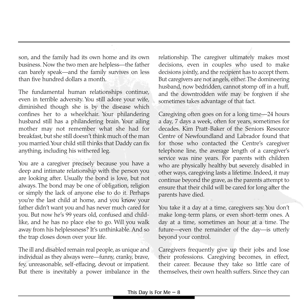son, and the family had its own home and its own business. Now the two men are helpless—the father can barely speak—and the family survives on less than five hundred dollars a month.

The fundamental human relationships continue, even in terrible adversity. You still adore your wife, diminished though she is by the disease which confines her to a wheelchair. Your philandering husband still has a philandering brain. Your ailing mother may not remember what she had for breakfast, but she still doesn't think much of the man you married.Your child still thinks that Daddy can fix anything, including his withered leg.

You are a caregiver precisely because you have a deep and intimate relationship with the person you are looking after. Usually the bond is love, but not always. The bond may be one of obligation, religion or simply the lack of anyone else to do it. Perhaps you're the last child at home, and you know your father didn't want you and has never much cared for you. But now he's 99 years old, confused and childlike, and he has no place else to go. Will you walk away from his helplessness? It's unthinkable. And so the trap closes down over your life.

The ill and disabled remain real people, as unique and individual as they always were—funny, cranky, brave, fey, unreasonable, self-effacing, devout or impatient. But there is inevitably a power imbalance in the relationship. The caregiver ultimately makes most decisions, even in couples who used to make decisions jointly, and the recipient has to accept them. But caregivers are not angels, either.The domineering husband, now bedridden, cannot stomp off in a huff, and the downtrodden wife may be forgiven if she sometimes takes advantage of that fact.

Caregiving often goes on for a long time—24 hours a day, 7 days a week, often for years, sometimes for decades. Kim Pratt-Baker of the Seniors Resource Centre of Newfoundland and Labrador found that for those who contacted the Centre's caregiver telephone line, the average length of a caregiver's service was nine years. For parents with children who are physically healthy but severely disabled in other ways, caregiving lasts a lifetime. Indeed, it may continue beyond the grave, as the parents attempt to ensure that their child will be cared for long after the parents have died.

You take it a day at a time, caregivers say. You don't make long-term plans, or even short-term ones. A day at a time, sometimes an hour at a time. The future—even the remainder of the day—is utterly beyond your control.

Caregivers frequently give up their jobs and lose their professions. Caregiving becomes, in effect, their career. Because they take so little care of themselves, their own health suffers. Since they can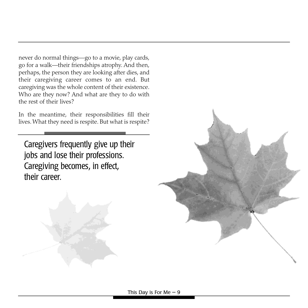never do normal things—go to a movie, play cards, go for a walk—their friendships atrophy. And then, perhaps, the person they are looking after dies, and their caregiving career comes to an end. But caregiving was the whole content of their existence. Who are they now? And what are they to do with the rest of their lives?

In the meantime, their responsibilities fill their lives. What they need is respite. But what is respite?

Caregivers frequently give up their jobs and lose their professions. Caregiving becomes, in effect, their career.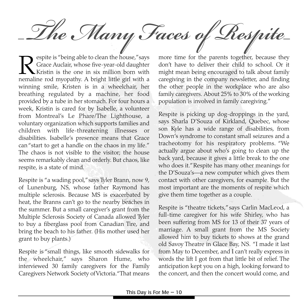The Many Faces of Respite

Respite is "being able to clean the house," says<br>Grace Auclair, whose five-year-old daughter<br>Kristin is the one in six million born with<br>nemaline rod myopathy. A bright little girl with a Grace Auclair, whose five-year-old daughter Kristin is the one in six million born with nemaline rod myopathy. A bright little girl with a winning smile, Kristen is in a wheelchair, her breathing regulated by a machine, her food provided by a tube in her stomach. For four hours a week, Kristin is cared for by Isabelle, a volunteer from Montreal's Le Phare/The Lighthouse, a voluntary organization which supports families and children with life-threatening illnesses or disabilities. Isabelle's presence means that Grace can "start to get a handle on the chaos in my life." The chaos is not visible to the visitor; the house seems remarkably clean and orderly. But chaos, like respite, is a state of mind.

Respite is "a wading pool,"says Tyler Brann, now 9, of Lunenburg, NS, whose father Raymond has multiple sclerosis. Because MS is exacerbated by heat, the Branns can't go to the nearby beaches in the summer. But a small caregiver's grant from the Multiple Sclerosis Society of Canada allowed Tyler to buy a fiberglass pool from Canadian Tire, and bring the beach to his father. (His mother used her grant to buy plants.)

Respite is "small things, like smooth sidewalks for the wheelchair," says Sharon Hume, who interviewed 30 family caregivers for the Family Caregivers Network Society of Victoria."That means

more time for the parents together, because they don't have to deliver their child to school. Or it might mean being encouraged to talk about family caregiving in the company newsletter, and finding the other people in the workplace who are also family caregivers. About 25% to 30% of the working population is involved in family caregiving."

Respite is picking up dog-droppings in the yard, says Sharla D'Souza of Kirkland, Quebec, whose son Kyle has a wide range of disabilities, from Down's syndrome to constant small seizures and a tracheotomy for his respiratory problems. "We actually argue about who's going to clean up the back yard, because it gives a little break to the one who does it."Respite has many other meanings for the D'Souza's—a new computer which gives them contact with other caregivers, for example. But the most important are the moments of respite which give them time together as a couple.

Respite is "theatre tickets,"says Carlin MacLeod, a full-time caregiver for his wife Shirley, who has been suffering from MS for 13 of their 37 years of marriage. A small grant from the MS Society allowed him to buy tickets to shows at the grand old Savoy Theatre in Glace Bay, NS. "I made it last from May to December, and I can't really express in words the lift I got from that little bit of relief. The anticipation kept you on a high, looking forward to the concert, and then the concert would come, and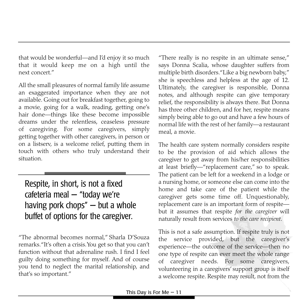that would be wonderful—and I'd enjoy it so much that it would keep me on a high until the next concert."

All the small pleasures of normal family life assume an exaggerated importance when they are not available. Going out for breakfast together, going to a movie, going for a walk, reading, getting one's hair done—things like these become impossible dreams under the relentless, ceaseless pressure of caregiving. For some caregivers, simply getting together with other caregivers, in person or on a listserv, is a welcome relief, putting them in touch with others who truly understand their situation.

## Respite, in short, is not a fixed cafeteria meal — "today we're having pork chops" — but a whole buffet of options for the caregiver.

"The abnormal becomes normal," Sharla D'Souza remarks."It's often a crisis.You get so that you can't function without that adrenaline rush. I find I feel guilty doing something for myself. And of course you tend to neglect the marital relationship, and that's so important."

"There really is no respite in an ultimate sense," says Donna Scalia, whose daughter suffers from multiple birth disorders."Like a big newborn baby," she is speechless and helpless at the age of 12. Ultimately, the caregiver is responsible, Donna notes, and although respite can give temporary relief, the responsibility is always there. But Donna has three other children, and for her, respite means simply being able to go out and have a few hours of normal life with the rest of her family—a restaurant meal, a movie.

The health care system normally considers respite to be the provision of aid which allows the caregiver to get away from his/her responsibilities at least briefly—"replacement care," so to speak. The patient can be left for a weekend in a lodge or a nursing home, or someone else can come into the home and take care of the patient while the caregiver gets some time off. Unquestionably, replacement care is an important form of respite but it assumes that respite *for the caregiver* will naturally result from services *to the care recipient*.

This is not a safe assumption. If respite truly is not the service provided, but the caregiver's experience—the outcome of the service—then no one type of respite can ever meet the whole range of caregiver needs. For some caregivers, volunteering in a caregivers' support group is itself a welcome respite. Respite may result, not from the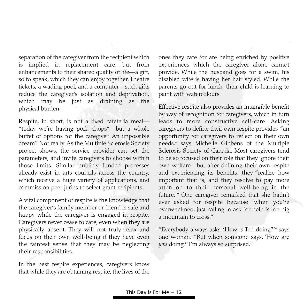separation of the caregiver from the recipient which is implied in replacement care, but from enhancements to their shared quality of life—a gift, so to speak, which they can enjoy together. Theatre tickets, a wading pool, and a computer—such gifts reduce the caregiver's isolation and deprivation, which may be just as draining as the physical burden.

Respite, in short, is not a fixed cafeteria meal— "today we're having pork chops"—but a whole buffet of options for the caregiver. An impossible dream? Not really. As the Multiple Sclerosis Society project shows, the service provider can set the parameters, and invite caregivers to choose within those limits. Similar publicly funded processes already exist in arts councils across the country, which receive a huge variety of applications, and commission peer juries to select grant recipients.

A vital component of respite is the knowledge that the caregiver's family member or friend is safe and happy while the caregiver is engaged in respite. Caregivers never cease to care, even when they are physically absent. They will not truly relax and focus on their own well-being if they have even the faintest sense that they may be neglecting their responsibilities.

In the best respite experiences, caregivers know that while they are obtaining respite, the lives of the

ones they care for are being enriched by positive experiences which the caregiver alone cannot provide. While the husband goes for a swim, his disabled wife is having her hair styled. While the parents go out for lunch, their child is learning to paint with watercolours.

Effective respite also provides an intangible benefit by way of recognition for caregivers, which in turn leads to more constructive self-care. Asking caregivers to define their own respite provides "an opportunity for caregivers to reflect on their own needs," says Michelle Gibbens of the Multiple Sclerosis Society of Canada. Most caregivers tend to be so focused on their role that they ignore their own welfare—but after defining their own respite and experiencing its benefits, they "realize how important that is, and they resolve to pay more attention to their personal well-being in the future. " One caregiver remarked that she hadn't ever asked for respite because "when you're overwhelmed, just calling to ask for help is too big a mountain to cross."

"Everybody always asks, 'How is Ted doing?'" says one woman. "But when someone says, 'How are *you* doing?' I'm always so surprised."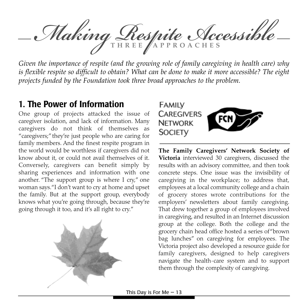*Making Respite Accessible* **THREE APPROACHES**

*Given the importance of respite (and the growing role of family caregiving in health care) why is flexible respite so difficult to obtain? What can be done to make it more accessible? The eight projects funded by the Foundation took three broad approaches to the problem.*

### **1. The Power of Information**

One group of projects attacked the issue of caregiver isolation, and lack of information. Many caregivers do not think of themselves as "caregivers;"they're just people who are caring for family members. And the finest respite program in the world would be worthless if caregivers did not know about it, or could not avail themselves of it. Conversely, caregivers can benefit simply by sharing experiences and information with one another. "The support group is where I cry," one woman says."I don't want to cry at home and upset the family. But at the support group, everybody knows what you're going through, because they're going through it too, and it's all right to cry."





**The Family Caregivers' Network Society of Victoria** interviewed 30 caregivers, discussed the results with an advisory committee, and then took concrete steps. One issue was the invisibility of caregiving in the workplace; to address that, employees at a local community college and a chain of grocery stores wrote contributions for the employers' newsletters about family caregiving. That drew together a group of employees involved in caregiving, and resulted in an Internet discussion group at the college. Both the college and the grocery chain head office hosted a series of "brown bag lunches" on caregiving for employees. The Victoria project also developed a resource guide for family caregivers, designed to help caregivers navigate the health-care system and to support them through the complexity of caregiving.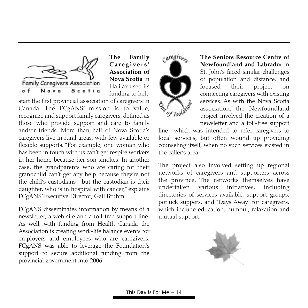

**The Family Caregivers' Association of Nova Scotia** in Halifax used its funding to help

start the first provincial association of caregivers in Canada. The FCgANS' mission is to value, recognize and support family caregivers, defined as those who provide support and care to family and/or friends. More than half of Nova Scotia's caregivers live in rural areas, with few available or flexible supports. "For example, one woman who has been in touch with us can't get respite workers in her home because her son smokes. In another case, the grandparents who are caring for their grandchild can't get any help because they're not the child's custodians—but the custodian is their daughter, who is in hospital with cancer,"explains FCgANS' Executive Director, Gail Bruhm.

FCgANS disseminates information by means of a newsletter, a web site and a toll-free support line. As well, with funding from Health Canada the Association is creating work-life balance events for employers and employees who are caregivers. FCgANS was able to leverage the Foundation's support to secure additional funding from the provincial government into 2006.



**The Seniors Resource Centre of Newfoundland and Labrador** in St. John's faced similar challenges of population and distance, and focused their project on connecting caregivers with existing services. As with the Nova Scotia association, the Newfoundland project involved the creation of a newsletter and a toll-free support

line—which was intended to refer caregivers to local services, but often wound up providing counseling itself, when no such services existed in the caller's area.

The project also involved setting up regional networks of caregivers and supporters across the province. The networks themselves have undertaken various initiatives, including directories of services available, support groups, potluck suppers, and "Days Away" for caregivers, which include education, humour, relaxation and mutual support.

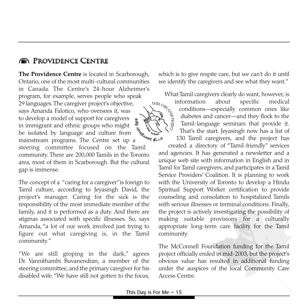#### **REDEVIDENCE CENTRE**

**The Providence Centre** is located in Scarborough, Ontario, one of the most multi-cultural communities in Canada. The Centre's 24-hour Alzheimer's<br>program, for example, serves people who speak<br>29 languages. The caregiver project's objective,<br>says Amanda Falotico, who oversees it, was<br>to develop a model of support for careg program, for example, serves people who speak 29 languages.The caregiver project's objective, says Amanda Falotico, who oversees it, was to develop a model of support for caregivers in immigrant and ethnic groups who might be isolated by language and culture from mainstream programs. The Centre set up a mainstream programs. The Centre set up a steering committee focused on the Tamil community. There are 200,000 Tamils in the Toronto area, most of them in Scarborough. But the cultural gap is immense.

The concept of a "caring for a caregiver"is foreign to Tamil culture, according to Jeyasingh David, the project's manager. Caring for the sick is the responsibility of the most immediate member of the family, and it is performed as a duty. And there are stigmas associated with specific illnesses. So, says Amanda, "a lot of our work involved just trying to figure out what caregiving is, in the Tamil community."

"We are still groping in the dark," agrees Dr. Vannithambi Buvanendran, a member of the steering committee, and the primary caregiver for his disabled wife."We have still not gotten to the focus,

which is to give respite care, but we can't do it until we identify the caregivers and see what they want."

What Tamil caregivers clearly do want, however, is



information about specific medical conditions—especially common ones like diabetes and cancer—and they flock to the Tamil-language seminars that provide it. That's the start. Jeyasingh now has a list of 130 Tamil caregivers, and the project has

created a directory of "Tamil-friendly" services and agencies. It has generated a newsletter and a unique web site with information in English and in Tamil for Tamil caregivers, and participates in a Tamil Service Providers' Coalition. It is planning to work with the University of Toronto to develop a Hindu Spiritual Support Worker certification to provide counseling and consolation to hospitalized Tamils with serious illnesses or terminal conditions. Finally, the project is actively investigating the possibility of making suitable provisions for a culturally appropriate long-term care facility for the Tamil community.

The McConnell Foundation funding for the Tamil project officially ended in mid-2003, but the project's obvious value has resulted in additional funding under the auspices of the local Community Care Access Centre.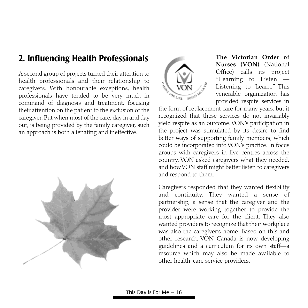# **2. Influencing Health Professionals**

A second group of projects turned their attention to health professionals and their relationship to caregivers. With honourable exceptions, health professionals have tended to be very much in command of diagnosis and treatment, focusing their attention on the patient to the exclusion of the caregiver. But when most of the care, day in and day out, is being provided by the family caregiver, such an approach is both alienating and ineffective.





**The Victorian Order of Nurses (VON)** (National Office) calls its project "Learning to Listen — Listening to Learn." This venerable organization has provided respite services in

the form of replacement care for many years, but it recognized that these services do not invariably yield respite as an outcome.VON's participation in the project was stimulated by its desire to find better ways of supporting family members, which could be incorporated into VON's practice. In focus groups with caregivers in five centres across the country, VON asked caregivers what they needed, and how VON staff might better listen to caregivers and respond to them.

Caregivers responded that they wanted flexibility and continuity. They wanted a sense of partnership, a sense that the caregiver and the provider were working together to provide the most appropriate care for the client. They also wanted providers to recognize that their workplace was also the caregiver's home. Based on this and other research, VON Canada is now developing guidelines and a curriculum for its own staff—a resource which may also be made available to other health-care service providers.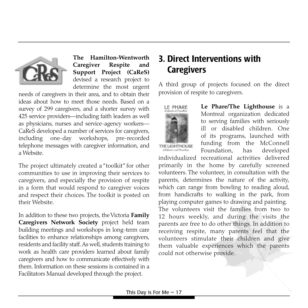

**The Hamilton-Wentworth Caregiver Respite and Support Project (CaReS)** devised a research project to determine the most urgent

needs of caregivers in their area, and to obtain their ideas about how to meet those needs. Based on a survey of 299 caregivers, and a shorter survey with 425 service providers—including faith leaders as well as physicians, nurses and service-agency workers— CaReS developed a number of services for caregivers, including one-day workshops, pre-recorded telephone messages with caregiver information, and a Website.

The project ultimately created a "toolkit" for other communities to use in improving their services to caregivers, and especially the provision of respite in a form that would respond to caregiver voices and respect their choices. The toolkit is posted on their Website.

In addition to these two projects, the Victoria **Family Caregivers Network Society** project held team building meetings and workshops in long-term care facilities to enhance relationships among caregivers, residents and facility staff.As well, students training to work as health care providers learned about family caregivers and how to communicate effectively with them. Information on these sessions is contained in a Facilitators Manual developed through the project.

## **3. Direct Interventions with Caregivers**

A third group of projects focused on the direct provision of respite to caregivers.



**Le Phare/The Lighthouse** is a Montreal organization dedicated to serving families with seriously ill or disabled children. One of its programs, launched with funding from the McConnell Foundation, has developed

THE LIGHTHOUSE Children and Navily

individualized recreational activities delivered primarily in the home by carefully screened volunteers. The volunteer, in consultation with the parents, determines the nature of the activity, which can range from bowling to reading aloud, from handicrafts to walking in the park, from playing computer games to drawing and painting. The volunteers visit the families from two to 12 hours weekly, and during the visits the parents are free to do other things. In addition to receiving respite, many parents feel that the volunteers stimulate their children and give them valuable experiences which the parents could not otherwise provide.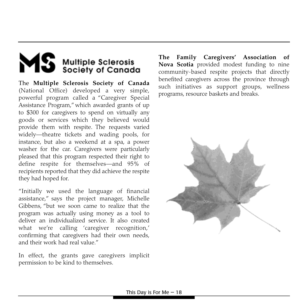# MS Multiple Sclerosis

The **Multiple Sclerosis Society of Canada** (National Office) developed a very simple, powerful program called a "Caregiver Special Assistance Program," which awarded grants of up to \$300 for caregivers to spend on virtually any goods or services which they believed would provide them with respite. The requests varied widely—theatre tickets and wading pools, for instance, but also a weekend at a spa, a power washer for the car. Caregivers were particularly pleased that this program respected their right to define respite for themselves—and 95% of recipients reported that they did achieve the respite they had hoped for.

"Initially we used the language of financial assistance," says the project manager, Michelle Gibbens, "but we soon came to realize that the program was actually using money as a tool to deliver an individualized service. It also created what we're calling 'caregiver recognition,' confirming that caregivers had their own needs, and their work had real value."

In effect, the grants gave caregivers implicit permission to be kind to themselves.

**The Family Caregivers' Association of Nova Scotia** provided modest funding to nine community-based respite projects that directly benefited caregivers across the province through such initiatives as support groups, wellness programs, resource baskets and breaks.

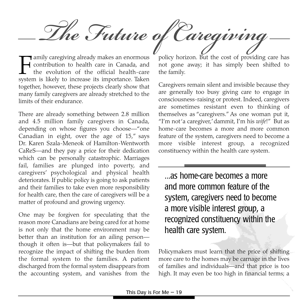*The Future of Caregiving*

Family caregiving already makes an enormous<br>contribution to health care in Canada, and<br>the evolution of the official health-care<br>system is likely to increase its importance. Taken contribution to health care in Canada, and the evolution of the official health-care system is likely to increase its importance. Taken together, however, these projects clearly show that many family caregivers are already stretched to the limits of their endurance.

There are already something between 2.8 million and 4.5 million family caregivers in Canada, depending on whose figures you choose—"one Canadian in eight, over the age of 15," says Dr. Karen Szala-Meneok of Hamilton-Wentworth CaReS—and they pay a price for their dedication which can be personally catastrophic. Marriages fail, families are plunged into poverty, and caregivers' psychological and physical health deteriorates. If public policy is going to ask patients and their families to take even more responsibility for health care, then the care of caregivers will be a matter of profound and growing urgency.

One may be forgiven for speculating that the reason more Canadians are being cared for at home is not only that the home environment may be better than an institution for an ailing person though it often is—but that policymakers fail to recognize the impact of shifting the burden from the formal system to the families. A patient discharged from the formal system disappears from the accounting system, and vanishes from the

policy horizon. But the cost of providing care has not gone away; it has simply been shifted to the family.

Caregivers remain silent and invisible because they are generally too busy giving care to engage in consciousness-raising or protest. Indeed, caregivers are sometimes resistant even to thinking of themselves as "caregivers." As one woman put it, "I'm not 'a caregiver,'dammit, I'm his *wife*!" But as home-care becomes a more and more common feature of the system, caregivers need to become a more visible interest group, a recognized constituency within the health care system.

...as home-care becomes a more and more common feature of the system, caregivers need to become a more visible interest group, a recognized constituency within the health care system.

Policymakers must learn that the price of shifting more care to the homes may be carnage in the lives of families and individuals—and that price is too high. It may even be too high in financial terms; a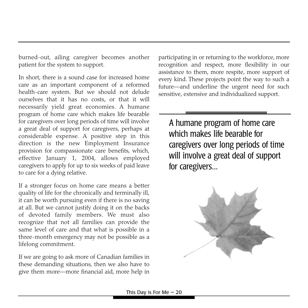burned-out, ailing caregiver becomes another patient for the system to support.

In short, there is a sound case for increased home care as an important component of a reformed health-care system. But we should not delude ourselves that it has no costs, or that it will necessarily yield great economies. A humane program of home care which makes life bearable for caregivers over long periods of time will involve a great deal of support for caregivers, perhaps at considerable expense. A positive step in this direction is the new Employment Insurance provision for compassionate care benefits, which, effective January 1, 2004, allows employed caregivers to apply for up to six weeks of paid leave to care for a dying relative.

If a stronger focus on home care means a better quality of life for the chronically and terminally ill, it can be worth pursuing even if there is no saving at all. But we cannot justify doing it on the backs of devoted family members. We must also recognize that not all families can provide the same level of care and that what is possible in a three-month emergency may not be possible as a lifelong commitment.

If we are going to ask more of Canadian families in these demanding situations, then we also have to give them more—more financial aid, more help in

participating in or returning to the workforce, more recognition and respect, more flexibility in our assistance to them, more respite, more support of every kind. These projects point the way to such a future—and underline the urgent need for such sensitive, extensive and individualized support.

A humane program of home care which makes life bearable for caregivers over long periods of time will involve a great deal of support for caregivers...

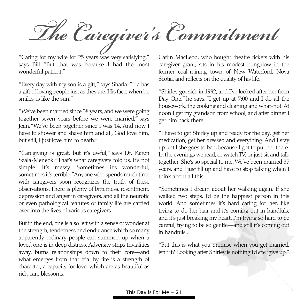*The Caregiver's Commitment*

"Caring for my wife for 25 years was very satisfying," says Bill. "But that was because I had the most wonderful patient."

"Every day with my son is a gift," says Sharla. "He has a gift of loving people just as they are. His face, when he smiles, is like the sun."

"We've been married since 38 years, and we were going together seven years before we were married," says Jean."We've been together since I was 14. And now I have to shower and shave him and all, God love him, but still, I just love him to death."

"Caregiving is great, but it's awful," says Dr. Karen Szala-Meneok."That's what caregivers told us. It's not simple. It's messy. Sometimes it's wonderful, sometimes it's terrible."Anyone who spends much time with caregivers soon recognizes the truth of these observations. There is plenty of bitterness, resentment, depression and anger in caregivers, and all the neurotic or even pathological features of family life are carried over into the lives of various caregivers.

But in the end, one is also left with a sense of wonder at the strength, tenderness and endurance which so many apparently ordinary people can summon up when a loved one is in deep distress. Adversity strips trivialities away, burns relationships down to their core—and what emerges from that trial by fire is a strength of character, a capacity for love, which are as beautiful as rich, rare blossoms.

Carlin MacLeod, who bought theatre tickets with his caregiver grant, sits in his modest bungalow in the former coal-mining town of New Waterford, Nova Scotia, and reflects on the quality of his life.

"Shirley got sick in 1992, and I've looked after her from Day One," he says."I get up at 7:00 and I do all the housework, the cooking and cleaning and what-not.At noon I get my grandson from school, and after dinner I get him back there.

"I have to get Shirley up and ready for the day, get her medication, get her dressed and everything. And I stay up until she goes to bed, because I got to put her there. In the evenings we read, or watch TV, or just sit and talk together. She's so special to me. We've been married 37 years, and I just fill up and have to stop talking when I think about all this....

"Sometimes I dream about her walking again. If she walked two steps, I'd be the happiest person in this world. And sometimes it's hard caring for her, like trying to do her hair and it's coming out in handfuls, and it's just breaking my heart. I'm trying so hard to be careful, trying to be so gentle—and still it's coming out in handfuls...

"But this is what you promise when you get married, isn't it? Looking after Shirley is nothing I'd *ever* give up."